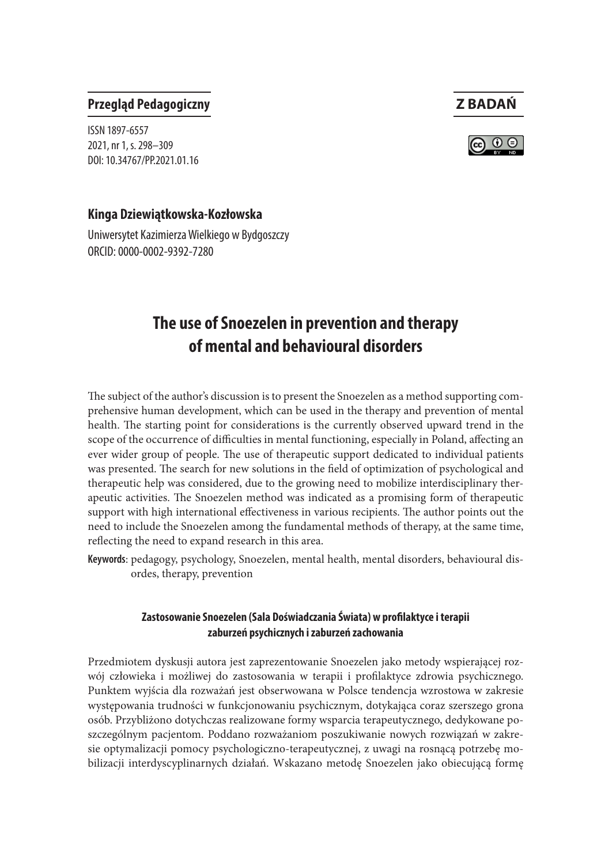#### **Przegląd Pedagogiczny Z BADAŃ**

ISSN 1897-6557 2021, nr 1, s. 298–309 DOI: 10.34767/PP.2021.01.16

#### **Kinga Dziewiątkowska-Kozłowska**

Uniwersytet Kazimierza Wielkiego w Bydgoszczy ORCID: 0000-0002-9392-7280

# **The use of Snoezelen in prevention and therapy of mental and behavioural disorders**

The subject of the author's discussion is to present the Snoezelen as a method supporting comprehensive human development, which can be used in the therapy and prevention of mental health. The starting point for considerations is the currently observed upward trend in the scope of the occurrence of difficulties in mental functioning, especially in Poland, affecting an ever wider group of people. The use of therapeutic support dedicated to individual patients was presented. The search for new solutions in the field of optimization of psychological and therapeutic help was considered, due to the growing need to mobilize interdisciplinary therapeutic activities. The Snoezelen method was indicated as a promising form of therapeutic support with high international effectiveness in various recipients. The author points out the need to include the Snoezelen among the fundamental methods of therapy, at the same time, reflecting the need to expand research in this area.

**Keywords**: pedagogy, psychology, Snoezelen, mental health, mental disorders, behavioural disordes, therapy, prevention

#### **Zastosowanie Snoezelen (Sala Doświadczania Świata) w profilaktyce i terapii zaburzeń psychicznych i zaburzeń zachowania**

Przedmiotem dyskusji autora jest zaprezentowanie Snoezelen jako metody wspierającej rozwój człowieka i możliwej do zastosowania w terapii i profilaktyce zdrowia psychicznego. Punktem wyjścia dla rozważań jest obserwowana w Polsce tendencja wzrostowa w zakresie występowania trudności w funkcjonowaniu psychicznym, dotykająca coraz szerszego grona osób. Przybliżono dotychczas realizowane formy wsparcia terapeutycznego, dedykowane poszczególnym pacjentom. Poddano rozważaniom poszukiwanie nowych rozwiązań w zakresie optymalizacji pomocy psychologiczno-terapeutycznej, z uwagi na rosnącą potrzebę mobilizacji interdyscyplinarnych działań. Wskazano metodę Snoezelen jako obiecującą formę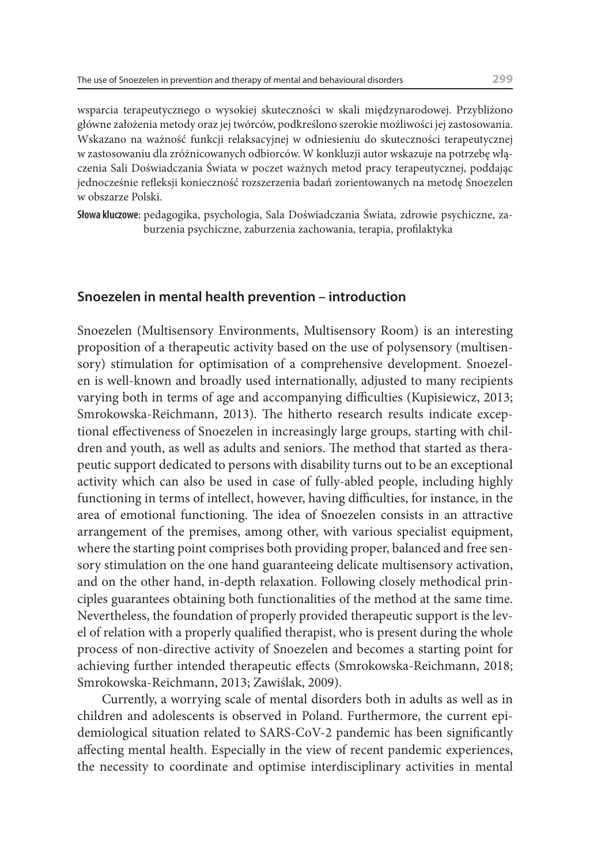wsparcia terapeutycznego o wysokiej skuteczności w skali międzynarodowej. Przybliżono główne założenia metody oraz jej twórców, podkreślono szerokie możliwości jej zastosowania. Wskazano na ważność funkcji relaksacyjnej w odniesieniu do skuteczności terapeutycznej w zastosowaniu dla zróżnicowanych odbiorców. W konkluzji autor wskazuje na potrzebę włączenia Sali Doświadczania Świata w poczet ważnych metod pracy terapeutycznej, poddając jednocześnie refleksji konieczność rozszerzenia badań zorientowanych na metodę Snoezelen w obszarze Polski.

**Słowa kluczowe**: pedagogika, psychologia, Sala Doświadczania Świata, zdrowie psychiczne, zaburzenia psychiczne, zaburzenia zachowania, terapia, profilaktyka

#### **Snoezelen in mental health prevention – introduction**

Snoezelen (Multisensory Environments, Multisensory Room) is an interesting proposition of a therapeutic activity based on the use of polysensory (multisensory) stimulation for optimisation of a comprehensive development. Snoezelen is well-known and broadly used internationally, adjusted to many recipients varying both in terms of age and accompanying difficulties (Kupisiewicz, 2013; Smrokowska-Reichmann, 2013). The hitherto research results indicate exceptional effectiveness of Snoezelen in increasingly large groups, starting with children and youth, as well as adults and seniors. The method that started as therapeutic support dedicated to persons with disability turns out to be an exceptional activity which can also be used in case of fully-abled people, including highly functioning in terms of intellect, however, having difficulties, for instance, in the area of emotional functioning. The idea of Snoezelen consists in an attractive arrangement of the premises, among other, with various specialist equipment, where the starting point comprises both providing proper, balanced and free sensory stimulation on the one hand guaranteeing delicate multisensory activation, and on the other hand, in-depth relaxation. Following closely methodical principles guarantees obtaining both functionalities of the method at the same time. Nevertheless, the foundation of properly provided therapeutic support is the level of relation with a properly qualified therapist, who is present during the whole process of non-directive activity of Snoezelen and becomes a starting point for achieving further intended therapeutic effects (Smrokowska-Reichmann, 2018; Smrokowska-Reichmann, 2013; Zawiślak, 2009).

Currently, a worrying scale of mental disorders both in adults as well as in children and adolescents is observed in Poland. Furthermore, the current epidemiological situation related to SARS-CoV-2 pandemic has been significantly affecting mental health. Especially in the view of recent pandemic experiences, the necessity to coordinate and optimise interdisciplinary activities in mental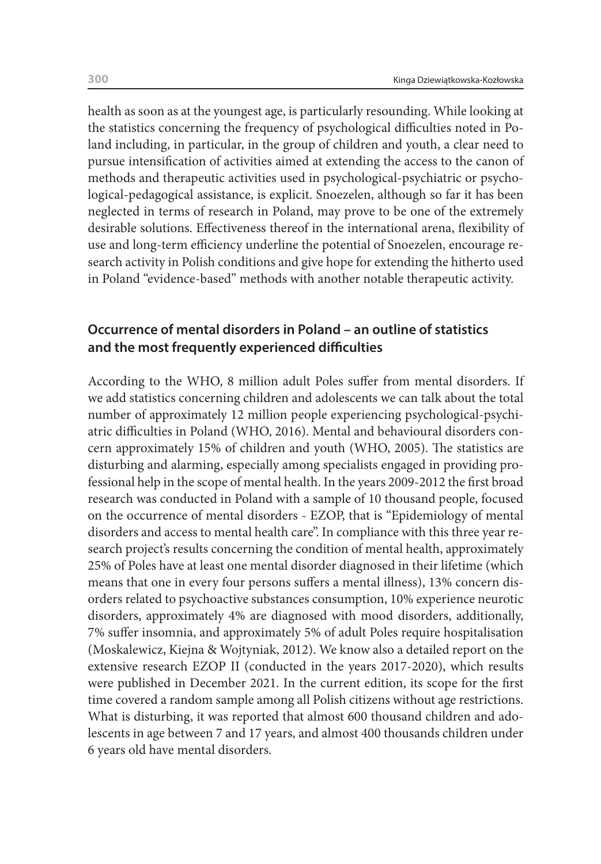health as soon as at the youngest age, is particularly resounding. While looking at the statistics concerning the frequency of psychological difficulties noted in Poland including, in particular, in the group of children and youth, a clear need to pursue intensification of activities aimed at extending the access to the canon of methods and therapeutic activities used in psychological-psychiatric or psychological-pedagogical assistance, is explicit. Snoezelen, although so far it has been neglected in terms of research in Poland, may prove to be one of the extremely desirable solutions. Effectiveness thereof in the international arena, flexibility of use and long-term efficiency underline the potential of Snoezelen, encourage research activity in Polish conditions and give hope for extending the hitherto used in Poland "evidence-based" methods with another notable therapeutic activity.

## **Occurrence of mental disorders in Poland – an outline of statistics and the most frequently experienced difficulties**

According to the WHO, 8 million adult Poles suffer from mental disorders. If we add statistics concerning children and adolescents we can talk about the total number of approximately 12 million people experiencing psychological-psychiatric difficulties in Poland (WHO, 2016). Mental and behavioural disorders concern approximately 15% of children and youth (WHO, 2005). The statistics are disturbing and alarming, especially among specialists engaged in providing professional help in the scope of mental health. In the years 2009-2012 the first broad research was conducted in Poland with a sample of 10 thousand people, focused on the occurrence of mental disorders - EZOP, that is "Epidemiology of mental disorders and access to mental health care". In compliance with this three year research project's results concerning the condition of mental health, approximately 25% of Poles have at least one mental disorder diagnosed in their lifetime (which means that one in every four persons suffers a mental illness), 13% concern disorders related to psychoactive substances consumption, 10% experience neurotic disorders, approximately 4% are diagnosed with mood disorders, additionally, 7% suffer insomnia, and approximately 5% of adult Poles require hospitalisation (Moskalewicz, Kiejna & Wojtyniak, 2012). We know also a detailed report on the extensive research EZOP II (conducted in the years 2017-2020), which results were published in December 2021. In the current edition, its scope for the first time covered a random sample among all Polish citizens without age restrictions. What is disturbing, it was reported that almost 600 thousand children and adolescents in age between 7 and 17 years, and almost 400 thousands children under 6 years old have mental disorders.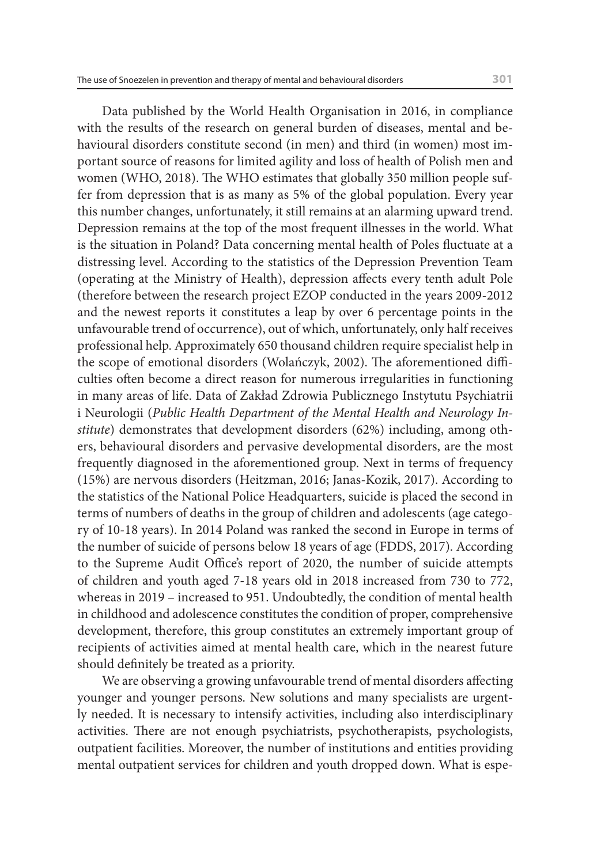Data published by the World Health Organisation in 2016, in compliance with the results of the research on general burden of diseases, mental and behavioural disorders constitute second (in men) and third (in women) most important source of reasons for limited agility and loss of health of Polish men and women (WHO, 2018). The WHO estimates that globally 350 million people suffer from depression that is as many as 5% of the global population. Every year this number changes, unfortunately, it still remains at an alarming upward trend. Depression remains at the top of the most frequent illnesses in the world. What is the situation in Poland? Data concerning mental health of Poles fluctuate at a distressing level. According to the statistics of the Depression Prevention Team (operating at the Ministry of Health), depression affects every tenth adult Pole (therefore between the research project EZOP conducted in the years 2009-2012 and the newest reports it constitutes a leap by over 6 percentage points in the unfavourable trend of occurrence), out of which, unfortunately, only half receives professional help. Approximately 650 thousand children require specialist help in the scope of emotional disorders (Wolańczyk, 2002). The aforementioned difficulties often become a direct reason for numerous irregularities in functioning in many areas of life. Data of Zakład Zdrowia Publicznego Instytutu Psychiatrii i Neurologii (*Public Health Department of the Mental Health and Neurology Institute*) demonstrates that development disorders (62%) including, among others, behavioural disorders and pervasive developmental disorders, are the most frequently diagnosed in the aforementioned group. Next in terms of frequency (15%) are nervous disorders (Heitzman, 2016; Janas-Kozik, 2017). According to the statistics of the National Police Headquarters, suicide is placed the second in terms of numbers of deaths in the group of children and adolescents (age category of 10-18 years). In 2014 Poland was ranked the second in Europe in terms of the number of suicide of persons below 18 years of age (FDDS, 2017). According to the Supreme Audit Office's report of 2020, the number of suicide attempts of children and youth aged 7-18 years old in 2018 increased from 730 to 772, whereas in 2019 – increased to 951. Undoubtedly, the condition of mental health in childhood and adolescence constitutes the condition of proper, comprehensive development, therefore, this group constitutes an extremely important group of recipients of activities aimed at mental health care, which in the nearest future should definitely be treated as a priority.

We are observing a growing unfavourable trend of mental disorders affecting younger and younger persons. New solutions and many specialists are urgently needed. It is necessary to intensify activities, including also interdisciplinary activities. There are not enough psychiatrists, psychotherapists, psychologists, outpatient facilities. Moreover, the number of institutions and entities providing mental outpatient services for children and youth dropped down. What is espe-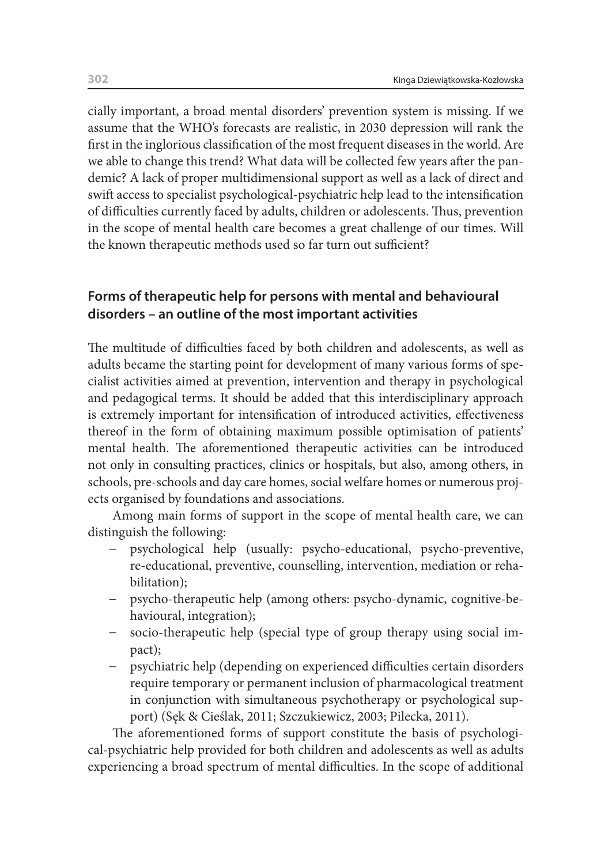cially important, a broad mental disorders' prevention system is missing. If we assume that the WHO's forecasts are realistic, in 2030 depression will rank the first in the inglorious classification of the most frequent diseases in the world. Are we able to change this trend? What data will be collected few years after the pandemic? A lack of proper multidimensional support as well as a lack of direct and swift access to specialist psychological-psychiatric help lead to the intensification of difficulties currently faced by adults, children or adolescents. Thus, prevention in the scope of mental health care becomes a great challenge of our times. Will the known therapeutic methods used so far turn out sufficient?

## **Forms of therapeutic help for persons with mental and behavioural disorders – an outline of the most important activities**

The multitude of difficulties faced by both children and adolescents, as well as adults became the starting point for development of many various forms of specialist activities aimed at prevention, intervention and therapy in psychological and pedagogical terms. It should be added that this interdisciplinary approach is extremely important for intensification of introduced activities, effectiveness thereof in the form of obtaining maximum possible optimisation of patients' mental health. The aforementioned therapeutic activities can be introduced not only in consulting practices, clinics or hospitals, but also, among others, in schools, pre-schools and day care homes, social welfare homes or numerous projects organised by foundations and associations.

Among main forms of support in the scope of mental health care, we can distinguish the following:

- psychological help (usually: psycho-educational, psycho-preventive, re-educational, preventive, counselling, intervention, mediation or rehabilitation);
- − psycho-therapeutic help (among others: psycho-dynamic, cognitive-behavioural, integration);
- socio-therapeutic help (special type of group therapy using social impact);
- − psychiatric help (depending on experienced difficulties certain disorders require temporary or permanent inclusion of pharmacological treatment in conjunction with simultaneous psychotherapy or psychological support) (Sęk & Cieślak, 2011; Szczukiewicz, 2003; Pilecka, 2011).

The aforementioned forms of support constitute the basis of psychological-psychiatric help provided for both children and adolescents as well as adults experiencing a broad spectrum of mental difficulties. In the scope of additional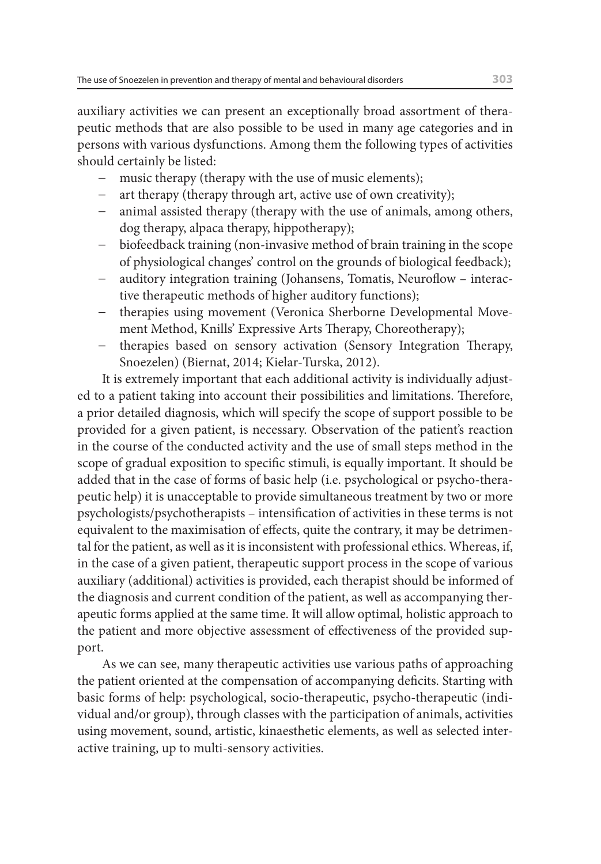auxiliary activities we can present an exceptionally broad assortment of therapeutic methods that are also possible to be used in many age categories and in persons with various dysfunctions. Among them the following types of activities should certainly be listed:

- music therapy (therapy with the use of music elements);
- art therapy (therapy through art, active use of own creativity);
- − animal assisted therapy (therapy with the use of animals, among others, dog therapy, alpaca therapy, hippotherapy);
- biofeedback training (non-invasive method of brain training in the scope of physiological changes' control on the grounds of biological feedback);
- − auditory integration training (Johansens, Tomatis, Neuroflow interactive therapeutic methods of higher auditory functions);
- − therapies using movement (Veronica Sherborne Developmental Movement Method, Knills' Expressive Arts Therapy, Choreotherapy);
- − therapies based on sensory activation (Sensory Integration Therapy, Snoezelen) (Biernat, 2014; Kielar-Turska, 2012).

It is extremely important that each additional activity is individually adjusted to a patient taking into account their possibilities and limitations. Therefore, a prior detailed diagnosis, which will specify the scope of support possible to be provided for a given patient, is necessary. Observation of the patient's reaction in the course of the conducted activity and the use of small steps method in the scope of gradual exposition to specific stimuli, is equally important. It should be added that in the case of forms of basic help (i.e. psychological or psycho-therapeutic help) it is unacceptable to provide simultaneous treatment by two or more psychologists/psychotherapists – intensification of activities in these terms is not equivalent to the maximisation of effects, quite the contrary, it may be detrimental for the patient, as well as it is inconsistent with professional ethics. Whereas, if, in the case of a given patient, therapeutic support process in the scope of various auxiliary (additional) activities is provided, each therapist should be informed of the diagnosis and current condition of the patient, as well as accompanying therapeutic forms applied at the same time. It will allow optimal, holistic approach to the patient and more objective assessment of effectiveness of the provided support.

As we can see, many therapeutic activities use various paths of approaching the patient oriented at the compensation of accompanying deficits. Starting with basic forms of help: psychological, socio-therapeutic, psycho-therapeutic (individual and/or group), through classes with the participation of animals, activities using movement, sound, artistic, kinaesthetic elements, as well as selected interactive training, up to multi-sensory activities.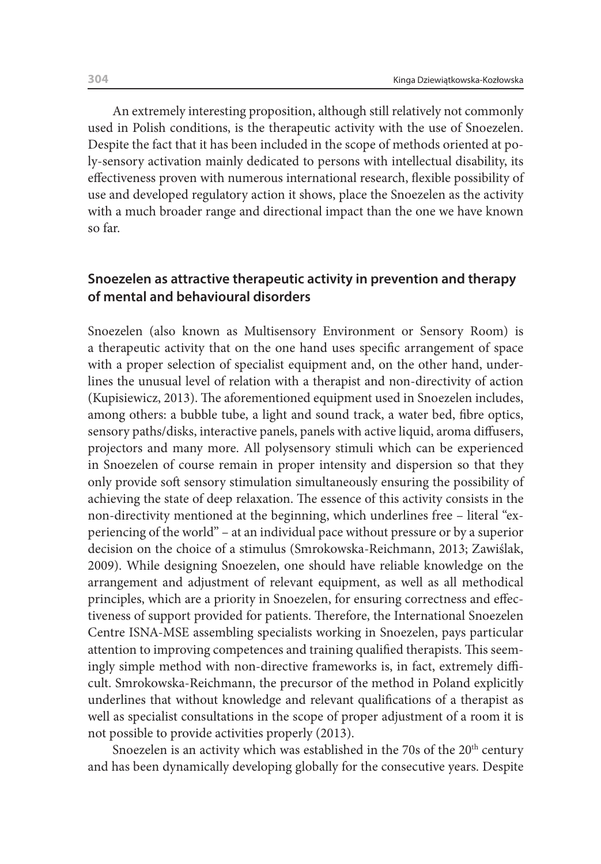An extremely interesting proposition, although still relatively not commonly used in Polish conditions, is the therapeutic activity with the use of Snoezelen. Despite the fact that it has been included in the scope of methods oriented at poly-sensory activation mainly dedicated to persons with intellectual disability, its effectiveness proven with numerous international research, flexible possibility of use and developed regulatory action it shows, place the Snoezelen as the activity with a much broader range and directional impact than the one we have known so far.

## **Snoezelen as attractive therapeutic activity in prevention and therapy of mental and behavioural disorders**

Snoezelen (also known as Multisensory Environment or Sensory Room) is a therapeutic activity that on the one hand uses specific arrangement of space with a proper selection of specialist equipment and, on the other hand, underlines the unusual level of relation with a therapist and non-directivity of action (Kupisiewicz, 2013). The aforementioned equipment used in Snoezelen includes, among others: a bubble tube, a light and sound track, a water bed, fibre optics, sensory paths/disks, interactive panels, panels with active liquid, aroma diffusers, projectors and many more. All polysensory stimuli which can be experienced in Snoezelen of course remain in proper intensity and dispersion so that they only provide soft sensory stimulation simultaneously ensuring the possibility of achieving the state of deep relaxation. The essence of this activity consists in the non-directivity mentioned at the beginning, which underlines free – literal "experiencing of the world" – at an individual pace without pressure or by a superior decision on the choice of a stimulus (Smrokowska-Reichmann, 2013; Zawiślak, 2009). While designing Snoezelen, one should have reliable knowledge on the arrangement and adjustment of relevant equipment, as well as all methodical principles, which are a priority in Snoezelen, for ensuring correctness and effectiveness of support provided for patients. Therefore, the International Snoezelen Centre ISNA-MSE assembling specialists working in Snoezelen, pays particular attention to improving competences and training qualified therapists. This seemingly simple method with non-directive frameworks is, in fact, extremely difficult. Smrokowska-Reichmann, the precursor of the method in Poland explicitly underlines that without knowledge and relevant qualifications of a therapist as well as specialist consultations in the scope of proper adjustment of a room it is not possible to provide activities properly (2013).

Snoezelen is an activity which was established in the 70s of the  $20<sup>th</sup>$  century and has been dynamically developing globally for the consecutive years. Despite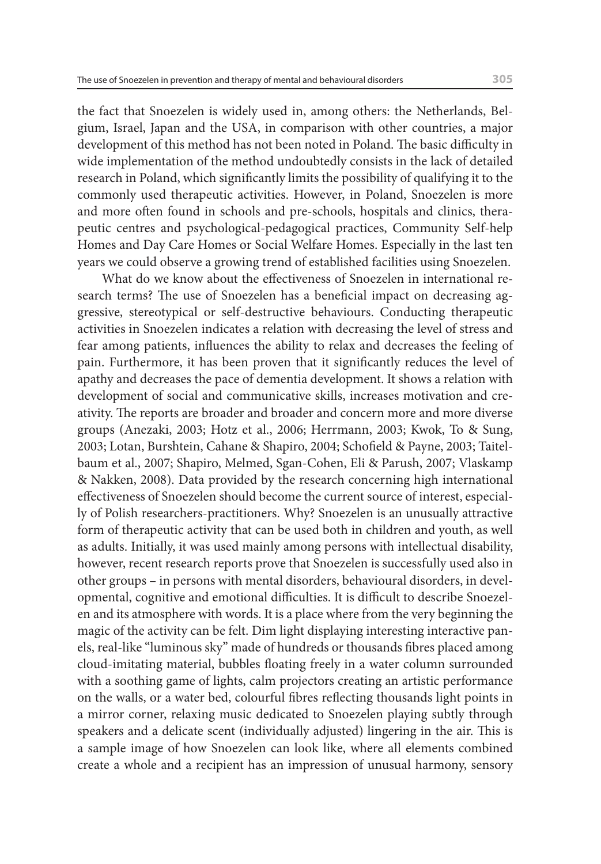the fact that Snoezelen is widely used in, among others: the Netherlands, Belgium, Israel, Japan and the USA, in comparison with other countries, a major development of this method has not been noted in Poland. The basic difficulty in wide implementation of the method undoubtedly consists in the lack of detailed research in Poland, which significantly limits the possibility of qualifying it to the commonly used therapeutic activities. However, in Poland, Snoezelen is more and more often found in schools and pre-schools, hospitals and clinics, therapeutic centres and psychological-pedagogical practices, Community Self-help Homes and Day Care Homes or Social Welfare Homes. Especially in the last ten years we could observe a growing trend of established facilities using Snoezelen.

What do we know about the effectiveness of Snoezelen in international research terms? The use of Snoezelen has a beneficial impact on decreasing aggressive, stereotypical or self-destructive behaviours. Conducting therapeutic activities in Snoezelen indicates a relation with decreasing the level of stress and fear among patients, influences the ability to relax and decreases the feeling of pain. Furthermore, it has been proven that it significantly reduces the level of apathy and decreases the pace of dementia development. It shows a relation with development of social and communicative skills, increases motivation and creativity. The reports are broader and broader and concern more and more diverse groups (Anezaki, 2003; Hotz et al., 2006; Herrmann, 2003; Kwok, To & Sung, 2003; Lotan, Burshtein, Cahane & Shapiro, 2004; Schofield & Payne, 2003; Taitelbaum et al., 2007; Shapiro, Melmed, Sgan-Cohen, Eli & Parush, 2007; Vlaskamp & Nakken, 2008). Data provided by the research concerning high international effectiveness of Snoezelen should become the current source of interest, especially of Polish researchers-practitioners. Why? Snoezelen is an unusually attractive form of therapeutic activity that can be used both in children and youth, as well as adults. Initially, it was used mainly among persons with intellectual disability, however, recent research reports prove that Snoezelen is successfully used also in other groups – in persons with mental disorders, behavioural disorders, in developmental, cognitive and emotional difficulties. It is difficult to describe Snoezelen and its atmosphere with words. It is a place where from the very beginning the magic of the activity can be felt. Dim light displaying interesting interactive panels, real-like "luminous sky" made of hundreds or thousands fibres placed among cloud-imitating material, bubbles floating freely in a water column surrounded with a soothing game of lights, calm projectors creating an artistic performance on the walls, or a water bed, colourful fibres reflecting thousands light points in a mirror corner, relaxing music dedicated to Snoezelen playing subtly through speakers and a delicate scent (individually adjusted) lingering in the air. This is a sample image of how Snoezelen can look like, where all elements combined create a whole and a recipient has an impression of unusual harmony, sensory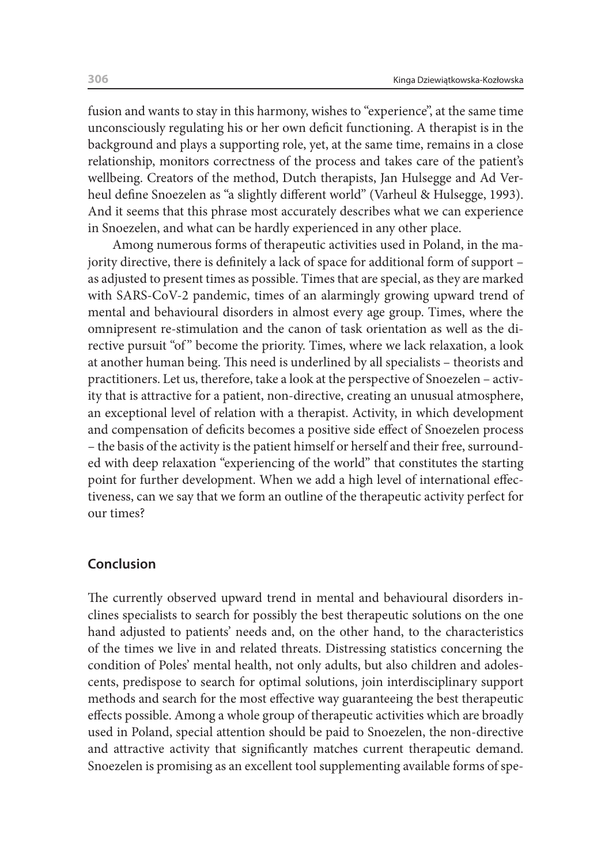fusion and wants to stay in this harmony, wishes to "experience", at the same time unconsciously regulating his or her own deficit functioning. A therapist is in the background and plays a supporting role, yet, at the same time, remains in a close relationship, monitors correctness of the process and takes care of the patient's wellbeing. Creators of the method, Dutch therapists, Jan Hulsegge and Ad Verheul define Snoezelen as "a slightly different world" (Varheul & Hulsegge, 1993). And it seems that this phrase most accurately describes what we can experience in Snoezelen, and what can be hardly experienced in any other place.

Among numerous forms of therapeutic activities used in Poland, in the majority directive, there is definitely a lack of space for additional form of support – as adjusted to present times as possible. Times that are special, as they are marked with SARS-CoV-2 pandemic, times of an alarmingly growing upward trend of mental and behavioural disorders in almost every age group. Times, where the omnipresent re-stimulation and the canon of task orientation as well as the directive pursuit "of" become the priority. Times, where we lack relaxation, a look at another human being. This need is underlined by all specialists – theorists and practitioners. Let us, therefore, take a look at the perspective of Snoezelen – activity that is attractive for a patient, non-directive, creating an unusual atmosphere, an exceptional level of relation with a therapist. Activity, in which development and compensation of deficits becomes a positive side effect of Snoezelen process – the basis of the activity is the patient himself or herself and their free, surrounded with deep relaxation "experiencing of the world" that constitutes the starting point for further development. When we add a high level of international effectiveness, can we say that we form an outline of the therapeutic activity perfect for our times?

#### **Conclusion**

The currently observed upward trend in mental and behavioural disorders inclines specialists to search for possibly the best therapeutic solutions on the one hand adjusted to patients' needs and, on the other hand, to the characteristics of the times we live in and related threats. Distressing statistics concerning the condition of Poles' mental health, not only adults, but also children and adolescents, predispose to search for optimal solutions, join interdisciplinary support methods and search for the most effective way guaranteeing the best therapeutic effects possible. Among a whole group of therapeutic activities which are broadly used in Poland, special attention should be paid to Snoezelen, the non-directive and attractive activity that significantly matches current therapeutic demand. Snoezelen is promising as an excellent tool supplementing available forms of spe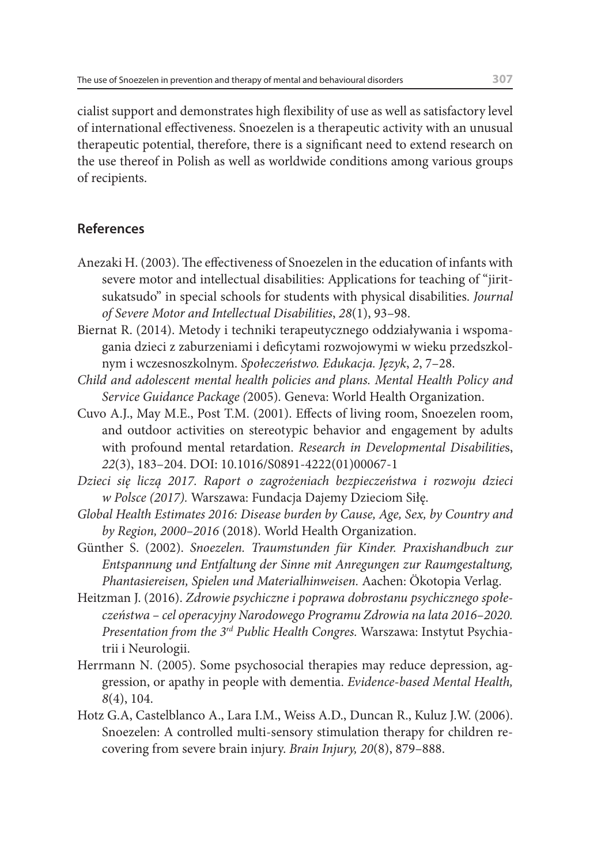cialist support and demonstrates high flexibility of use as well as satisfactory level of international effectiveness. Snoezelen is a therapeutic activity with an unusual therapeutic potential, therefore, there is a significant need to extend research on the use thereof in Polish as well as worldwide conditions among various groups of recipients.

## **References**

- Anezaki H. (2003). The effectiveness of Snoezelen in the education of infants with severe motor and intellectual disabilities: Applications for teaching of "jiritsukatsudo" in special schools for students with physical disabilities. *Journal of Severe Motor and Intellectual Disabilities*, *28*(1), 93–98.
- Biernat R. (2014). Metody i techniki terapeutycznego oddziaływania i wspomagania dzieci z zaburzeniami i deficytami rozwojowymi w wieku przedszkolnym i wczesnoszkolnym. *Społeczeństwo. Edukacja. Język*, *2*, 7–28.
- *Child and adolescent mental health policies and plans. Mental Health Policy and Service Guidance Package (*2005)*.* Geneva: World Health Organization.
- Cuvo A.J., May M.E., Post T.M. (2001). Effects of living room, Snoezelen room, and outdoor activities on stereotypic behavior and engagement by adults with profound mental retardation. *Research in Developmental Disabilitie*s, *22*(3), 183–204. DOI: 10.1016/S0891-4222(01)00067-1
- *Dzieci się liczą 2017. Raport o zagrożeniach bezpieczeństwa i rozwoju dzieci w Polsce (2017).* Warszawa: Fundacja Dajemy Dzieciom Siłę.
- *Global Health Estimates 2016: Disease burden by Cause, Age, Sex, by Country and by Region, 2000–2016* (2018). World Health Organization.
- Günther S. (2002). *Snoezelen. Traumstunden für Kinder. Praxishandbuch zur Entspannung und Entfaltung der Sinne mit Anregungen zur Raumgestaltung, Phantasiereisen, Spielen und Materialhinweisen.* Aachen: Ökotopia Verlag.
- Heitzman J. (2016). *Zdrowie psychiczne i poprawa dobrostanu psychicznego społeczeństwa – cel operacyjny Narodowego Programu Zdrowia na lata 2016–2020. Presentation from the 3rd Public Health Congres.* Warszawa: Instytut Psychiatrii i Neurologii.
- Herrmann N. (2005). Some psychosocial therapies may reduce depression, aggression, or apathy in people with dementia. *Evidence-based Mental Health, 8*(4), 104.
- Hotz G.A, Castelblanco A., Lara I.M., Weiss A.D., Duncan R., Kuluz J.W. (2006). Snoezelen: A controlled multi-sensory stimulation therapy for children recovering from severe brain injury. *Brain Injury, 20*(8), 879–888.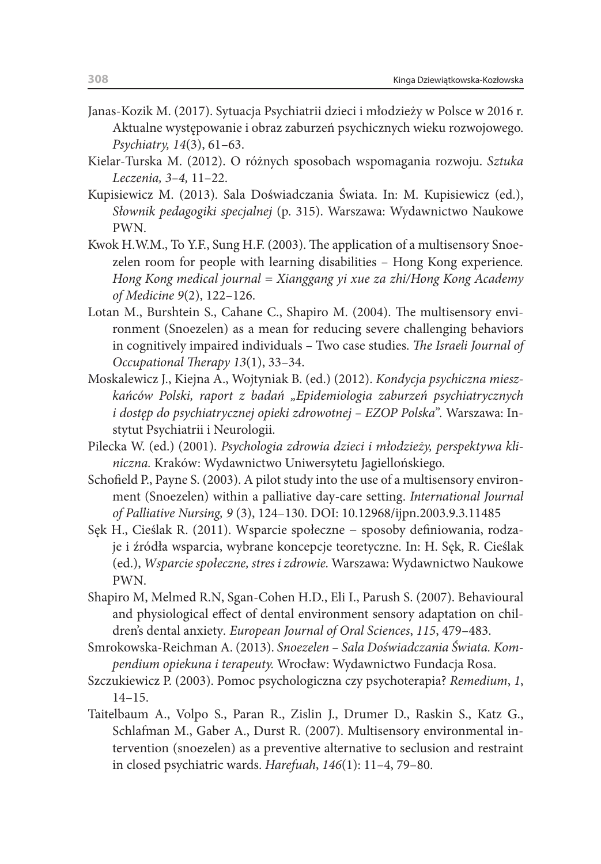- Janas-Kozik M. (2017). Sytuacja Psychiatrii dzieci i młodzieży w Polsce w 2016 r. Aktualne występowanie i obraz zaburzeń psychicznych wieku rozwojowego. *Psychiatry, 14*(3), 61–63.
- Kielar-Turska M. (2012). O różnych sposobach wspomagania rozwoju. *Sztuka Leczenia, 3–4,* 11–22.
- Kupisiewicz M. (2013). Sala Doświadczania Świata. In: M. Kupisiewicz (ed.), *Słownik pedagogiki specjalnej* (p. 315). Warszawa: Wydawnictwo Naukowe PWN.
- Kwok H.W.M., To Y.F., Sung H.F. (2003). The application of a multisensory Snoezelen room for people with learning disabilities – Hong Kong experience*. Hong Kong medical journal = Xianggang yi xue za zhi/Hong Kong Academy of Medicine 9*(2), 122–126.
- Lotan M., Burshtein S., Cahane C., Shapiro M. (2004). The multisensory environment (Snoezelen) as a mean for reducing severe challenging behaviors in cognitively impaired individuals – Two case studies. *The Israeli Journal of Occupational Therapy 13*(1), 33–34.
- Moskalewicz J., Kiejna A., Wojtyniak B. (ed.) (2012). *Kondycja psychiczna mieszkańców Polski, raport z badań "Epidemiologia zaburzeń psychiatrycznych i dostęp do psychiatrycznej opieki zdrowotnej – EZOP Polska".* Warszawa: Instytut Psychiatrii i Neurologii.
- Pilecka W. (ed.) (2001). *Psychologia zdrowia dzieci i młodzieży, perspektywa kliniczna.* Kraków: Wydawnictwo Uniwersytetu Jagiellońskiego.
- Schofield P., Payne S. (2003). A pilot study into the use of a multisensory environment (Snoezelen) within a palliative day-care setting. *International Journal of Palliative Nursing, 9* (3), 124–130. DOI: 10.12968/ijpn.2003.9.3.11485
- Sęk H., Cieślak R. (2011). Wsparcie społeczne − sposoby definiowania, rodzaje i źródła wsparcia, wybrane koncepcje teoretyczne. In: H. Sęk, R. Cieślak (ed.), *Wsparcie społeczne, stres i zdrowie.* Warszawa: Wydawnictwo Naukowe PWN.
- Shapiro M, Melmed R.N, Sgan-Cohen H.D., Eli I., Parush S. (2007). Behavioural and physiological effect of dental environment sensory adaptation on children's dental anxiety*. European Journal of Oral Sciences*, *115*, 479–483.
- Smrokowska-Reichman A. (2013). *Snoezelen Sala Doświadczania Świata. Kompendium opiekuna i terapeuty.* Wrocław: Wydawnictwo Fundacja Rosa.
- Szczukiewicz P. (2003). Pomoc psychologiczna czy psychoterapia? *Remedium*, *1*, 14–15.
- Taitelbaum A., Volpo S., Paran R., Zislin J., Drumer D., Raskin S., Katz G., Schlafman M., Gaber A., Durst R. (2007). Multisensory environmental intervention (snoezelen) as a preventive alternative to seclusion and restraint in closed psychiatric wards. *Harefuah*, *146*(1): 11–4, 79–80.